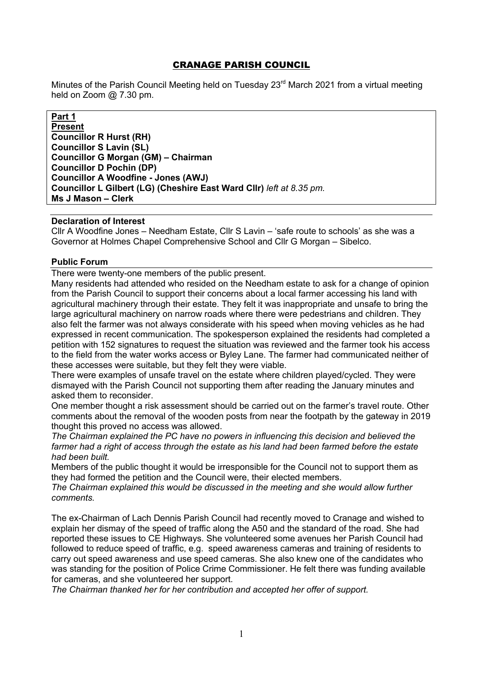## CRANAGE PARISH COUNCIL

Minutes of the Parish Council Meeting held on Tuesday 23<sup>rd</sup> March 2021 from a virtual meeting held on Zoom @ 7.30 pm.

### **Part 1**

**Present Councillor R Hurst (RH) Councillor S Lavin (SL) Councillor G Morgan (GM) – Chairman Councillor D Pochin (DP) Councillor A Woodfine - Jones (AWJ) Councillor L Gilbert (LG) (Cheshire East Ward Cllr)** *left at 8.35 pm.* **Ms J Mason – Clerk** 

#### **Declaration of Interest**

Cllr A Woodfine Jones – Needham Estate, Cllr S Lavin – 'safe route to schools' as she was a Governor at Holmes Chapel Comprehensive School and Cllr G Morgan – Sibelco.

## **Public Forum**

There were twenty-one members of the public present.

Many residents had attended who resided on the Needham estate to ask for a change of opinion from the Parish Council to support their concerns about a local farmer accessing his land with agricultural machinery through their estate. They felt it was inappropriate and unsafe to bring the large agricultural machinery on narrow roads where there were pedestrians and children. They also felt the farmer was not always considerate with his speed when moving vehicles as he had expressed in recent communication. The spokesperson explained the residents had completed a petition with 152 signatures to request the situation was reviewed and the farmer took his access to the field from the water works access or Byley Lane. The farmer had communicated neither of these accesses were suitable, but they felt they were viable.

There were examples of unsafe travel on the estate where children played/cycled. They were dismayed with the Parish Council not supporting them after reading the January minutes and asked them to reconsider.

One member thought a risk assessment should be carried out on the farmer's travel route. Other comments about the removal of the wooden posts from near the footpath by the gateway in 2019 thought this proved no access was allowed.

*The Chairman explained the PC have no powers in influencing this decision and believed the farmer had a right of access through the estate as his land had been farmed before the estate had been built.* 

Members of the public thought it would be irresponsible for the Council not to support them as they had formed the petition and the Council were, their elected members.

*The Chairman explained this would be discussed in the meeting and she would allow further comments.*

The ex-Chairman of Lach Dennis Parish Council had recently moved to Cranage and wished to explain her dismay of the speed of traffic along the A50 and the standard of the road. She had reported these issues to CE Highways. She volunteered some avenues her Parish Council had followed to reduce speed of traffic, e.g. speed awareness cameras and training of residents to carry out speed awareness and use speed cameras. She also knew one of the candidates who was standing for the position of Police Crime Commissioner. He felt there was funding available for cameras, and she volunteered her support.

*The Chairman thanked her for her contribution and accepted her offer of support.*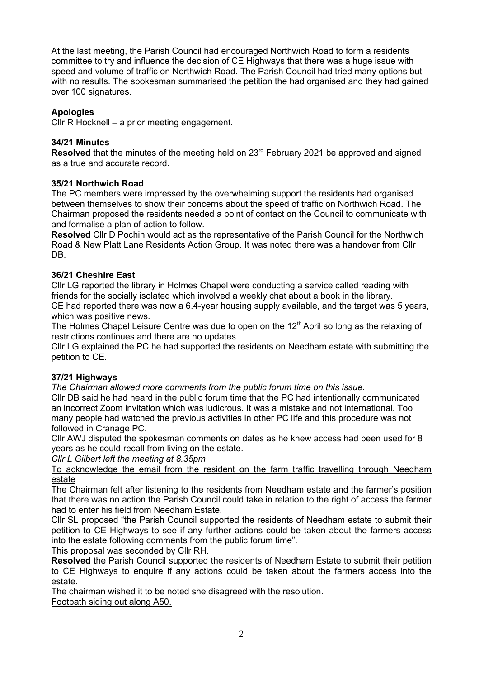At the last meeting, the Parish Council had encouraged Northwich Road to form a residents committee to try and influence the decision of CE Highways that there was a huge issue with speed and volume of traffic on Northwich Road. The Parish Council had tried many options but with no results. The spokesman summarised the petition the had organised and they had gained over 100 signatures.

# **Apologies**

Cllr R Hocknell – a prior meeting engagement.

## **34/21 Minutes**

**Resolved** that the minutes of the meeting held on 23<sup>rd</sup> February 2021 be approved and signed as a true and accurate record.

#### **35/21 Northwich Road**

The PC members were impressed by the overwhelming support the residents had organised between themselves to show their concerns about the speed of traffic on Northwich Road. The Chairman proposed the residents needed a point of contact on the Council to communicate with and formalise a plan of action to follow.

**Resolved** Cllr D Pochin would act as the representative of the Parish Council for the Northwich Road & New Platt Lane Residents Action Group. It was noted there was a handover from Cllr DB.

### **36/21 Cheshire East**

Cllr LG reported the library in Holmes Chapel were conducting a service called reading with friends for the socially isolated which involved a weekly chat about a book in the library.

CE had reported there was now a 6.4-year housing supply available, and the target was 5 years, which was positive news.

The Holmes Chapel Leisure Centre was due to open on the  $12<sup>th</sup>$  April so long as the relaxing of restrictions continues and there are no updates.

Cllr LG explained the PC he had supported the residents on Needham estate with submitting the petition to CE.

#### **37/21 Highways**

*The Chairman allowed more comments from the public forum time on this issue.* 

Cllr DB said he had heard in the public forum time that the PC had intentionally communicated an incorrect Zoom invitation which was ludicrous. It was a mistake and not international. Too many people had watched the previous activities in other PC life and this procedure was not followed in Cranage PC.

Cllr AWJ disputed the spokesman comments on dates as he knew access had been used for 8 years as he could recall from living on the estate.

*Cllr L Gilbert left the meeting at 8.35pm* 

To acknowledge the email from the resident on the farm traffic travelling through Needham estate

The Chairman felt after listening to the residents from Needham estate and the farmer's position that there was no action the Parish Council could take in relation to the right of access the farmer had to enter his field from Needham Estate.

Cllr SL proposed "the Parish Council supported the residents of Needham estate to submit their petition to CE Highways to see if any further actions could be taken about the farmers access into the estate following comments from the public forum time".

This proposal was seconded by Cllr RH.

**Resolved** the Parish Council supported the residents of Needham Estate to submit their petition to CE Highways to enquire if any actions could be taken about the farmers access into the estate.

The chairman wished it to be noted she disagreed with the resolution.

Footpath siding out along A50.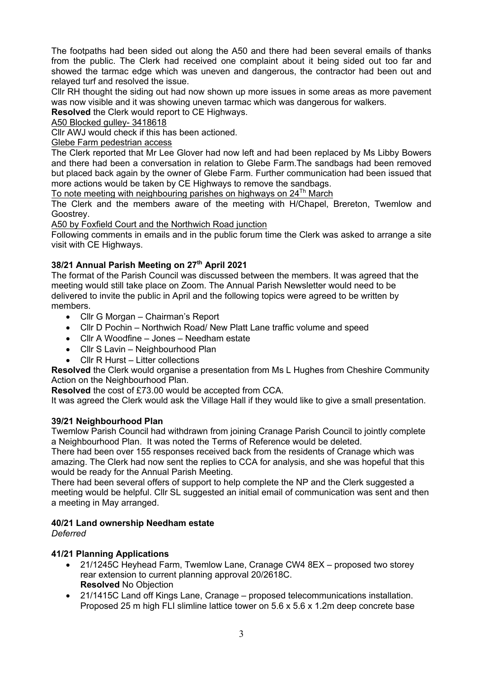The footpaths had been sided out along the A50 and there had been several emails of thanks from the public. The Clerk had received one complaint about it being sided out too far and showed the tarmac edge which was uneven and dangerous, the contractor had been out and relayed turf and resolved the issue.

Cllr RH thought the siding out had now shown up more issues in some areas as more pavement was now visible and it was showing uneven tarmac which was dangerous for walkers.

**Resolved** the Clerk would report to CE Highways.

A50 Blocked gulley- 3418618

Cllr AWJ would check if this has been actioned.

Glebe Farm pedestrian access

The Clerk reported that Mr Lee Glover had now left and had been replaced by Ms Libby Bowers and there had been a conversation in relation to Glebe Farm.The sandbags had been removed but placed back again by the owner of Glebe Farm. Further communication had been issued that more actions would be taken by CE Highways to remove the sandbags.

To note meeting with neighbouring parishes on highways on  $24<sup>Th</sup>$  March

The Clerk and the members aware of the meeting with H/Chapel, Brereton, Twemlow and Goostrey.

A50 by Foxfield Court and the Northwich Road junction

Following comments in emails and in the public forum time the Clerk was asked to arrange a site visit with CE Highways.

# **38/21 Annual Parish Meeting on 27th April 2021**

The format of the Parish Council was discussed between the members. It was agreed that the meeting would still take place on Zoom. The Annual Parish Newsletter would need to be delivered to invite the public in April and the following topics were agreed to be written by members.

- Cllr G Morgan Chairman's Report
- Cllr D Pochin Northwich Road/ New Platt Lane traffic volume and speed
- Cllr A Woodfine Jones Needham estate
- Cllr S Lavin Neighbourhood Plan
- Cllr R Hurst Litter collections

**Resolved** the Clerk would organise a presentation from Ms L Hughes from Cheshire Community Action on the Neighbourhood Plan.

**Resolved** the cost of £73.00 would be accepted from CCA.

It was agreed the Clerk would ask the Village Hall if they would like to give a small presentation.

#### **39/21 Neighbourhood Plan**

Twemlow Parish Council had withdrawn from joining Cranage Parish Council to jointly complete a Neighbourhood Plan. It was noted the Terms of Reference would be deleted.

There had been over 155 responses received back from the residents of Cranage which was amazing. The Clerk had now sent the replies to CCA for analysis, and she was hopeful that this would be ready for the Annual Parish Meeting.

There had been several offers of support to help complete the NP and the Clerk suggested a meeting would be helpful. Cllr SL suggested an initial email of communication was sent and then a meeting in May arranged.

#### **40/21 Land ownership Needham estate**

*Deferred*

#### **41/21 Planning Applications**

- 21/1245C Heyhead Farm, Twemlow Lane, Cranage CW4 8EX proposed two storey rear extension to current planning approval 20/2618C. **Resolved** No Objection
- 21/1415C Land off Kings Lane, Cranage proposed telecommunications installation. Proposed 25 m high FLI slimline lattice tower on 5.6 x 5.6 x 1.2m deep concrete base